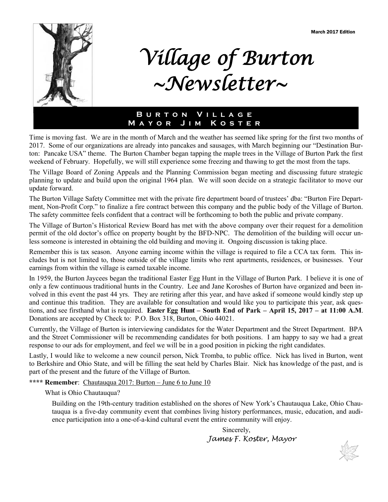

# *Village of Burton ~Newsletter~*

## **B u r t o n V i l l a g e M a y o r J i m K o s t e r**

Time is moving fast. We are in the month of March and the weather has seemed like spring for the first two months of 2017. Some of our organizations are already into pancakes and sausages, with March beginning our "Destination Burton: Pancake USA" theme. The Burton Chamber began tapping the maple trees in the Village of Burton Park the first weekend of February. Hopefully, we will still experience some freezing and thawing to get the most from the taps.

The Village Board of Zoning Appeals and the Planning Commission began meeting and discussing future strategic planning to update and build upon the original 1964 plan. We will soon decide on a strategic facilitator to move our update forward.

The Burton Village Safety Committee met with the private fire department board of trustees' dba: "Burton Fire Department, Non-Profit Corp." to finalize a fire contract between this company and the public body of the Village of Burton. The safety committee feels confident that a contract will be forthcoming to both the public and private company.

The Village of Burton's Historical Review Board has met with the above company over their request for a demolition permit of the old doctor's office on property bought by the BFD-NPC. The demolition of the building will occur unless someone is interested in obtaining the old building and moving it. Ongoing discussion is taking place.

Remember this is tax season. Anyone earning income within the village is required to file a CCA tax form. This includes but is not limited to, those outside of the village limits who rent apartments, residences, or businesses. Your earnings from within the village is earned taxable income.

In 1959, the Burton Jaycees began the traditional Easter Egg Hunt in the Village of Burton Park. I believe it is one of only a few continuous traditional hunts in the Country. Lee and Jane Koroshes of Burton have organized and been involved in this event the past 44 yrs. They are retiring after this year, and have asked if someone would kindly step up and continue this tradition. They are available for consultation and would like you to participate this year, ask questions, and see firsthand what is required. **Easter Egg Hunt – South End of Park – April 15, 2017 – at 11:00 A.M**. Donations are accepted by Check to: P.O. Box 318, Burton, Ohio 44021.

Currently, the Village of Burton is interviewing candidates for the Water Department and the Street Department. BPA and the Street Commissioner will be recommending candidates for both positions. I am happy to say we had a great response to our ads for employment, and feel we will be in a good position in picking the right candidates.

Lastly, I would like to welcome a new council person, Nick Tromba, to public office. Nick has lived in Burton, went to Berkshire and Ohio State, and will be filling the seat held by Charles Blair. Nick has knowledge of the past, and is part of the present and the future of the Village of Burton.

**\*\*\*\* Remember**: Chautauqua 2017: Burton – June 6 to June 10

What is Ohio Chautauqua?

Building on the 19th-century tradition established on the shores of New York's Chautauqua Lake, Ohio Chautauqua is a five-day community event that combines living history performances, music, education, and audience participation into a one-of-a-kind cultural event the entire community will enjoy.

> Sincerely, *James F. Koster, Mayor*

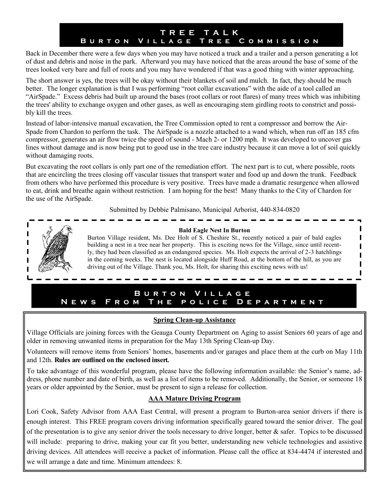# **T R E E T A L K B u r t o n V i l l a g e T r e e C o m m i s s i o n**

Back in December there were a few days when you may have noticed a truck and a trailer and a person generating a lot of dust and debris and noise in the park. Afterward you may have noticed that the areas around the base of some of the trees looked very bare and full of roots and you may have wondered if that was a good thing with winter approaching.

The short answer is yes, the trees will be okay without their blankets of soil and mulch. In fact, they should be much better. The longer explanation is that I was performing "root collar excavations" with the aide of a tool called an "AirSpade." Excess debris had built up around the bases (root collars or root flares) of many trees which was inhibiting the trees' ability to exchange oxygen and other gases, as well as encouraging stem girdling roots to constrict and possibly kill the trees.

Instead of labor-intensive manual excavation, the Tree Commission opted to rent a compressor and borrow the Air-Spade from Chardon to perform the task. The AirSpade is a nozzle attached to a wand which, when run off an 185 cfm compressor, generates an air flow twice the speed of sound - Mach 2- or 1200 mph. It was developed to uncover gas lines without damage and is now being put to good use in the tree care industry because it can move a lot of soil quickly without damaging roots.

But excavating the root collars is only part one of the remediation effort. The next part is to cut, where possible, roots that are encircling the trees closing off vascular tissues that transport water and food up and down the trunk. Feedback from others who have performed this procedure is very positive. Trees have made a dramatic resurgence when allowed to eat, drink and breathe again without restriction. I am hoping for the best! Many thanks to the City of Chardon for the use of the AirSpade.

Submitted by Debbie Palmisano, Municipal Arborist, 440-834-0820



#### **Bald Eagle Nest In Burton**

Burton Village resident, Ms. Dee Holt of S. Cheshire St., recently noticed a pair of bald eagles building a nest in a tree near her property. This is exciting news for the Village, since until recently, they had been classified as an endangered species. Ms. Holt expects the arrival of 2-3 hatchlings in the coming weeks. The nest is located alongside Huff Road, at the bottom of the hill, as you are driving out of the Village. Thank you, Ms. Holt, for sharing this exciting news with us!

 $\blacksquare$  $\overline{\phantom{a}}$ I Ī I

## **B u r t o n V i l l a g e NEWS FROM THE POLICE DEPARTMENT**

## **Spring Clean-up Assistance**

Village Officials are joining forces with the Geauga County Department on Aging to assist Seniors 60 years of age and older in removing unwanted items in preparation for the May 13th Spring Clean-up Day.

Volunteers will remove items from Seniors' homes, basements and/or garages and place them at the curb on May 11th and 12th. **Rules are outlined on the enclosed insert.**

To take advantage of this wonderful program, please have the following information available: the Senior's name, address, phone number and date of birth, as well as a list of items to be removed. Additionally, the Senior, or someone 18 years or older appointed by the Senior, must be present to sign a release for collection.

## **AAA Mature Driving Program**

Lori Cook, Safety Advisor from AAA East Central, will present a program to Burton-area senior drivers if there is enough interest. This FREE program covers driving information specifically geared toward the senior driver. The goal of the presentation is to give any senior driver the tools necessary to drive longer, better  $\&$  safer. Topics to be discussed will include: preparing to drive, making your car fit you better, understanding new vehicle technologies and assistive driving devices. All attendees will receive a packet of information. Please call the office at 834-4474 if interested and we will arrange a date and time. Minimum attendees: 8.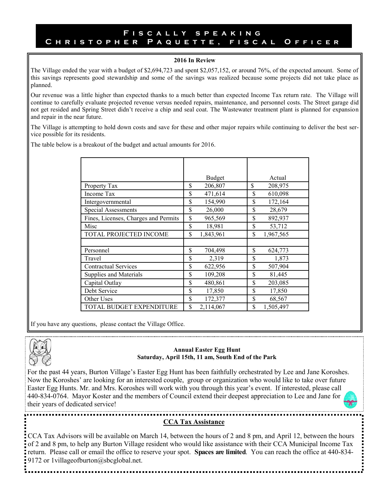#### **F i s c a l l y s p e a k i n g C h r i s t o p h e r P a q u e t t e , f i s c a l O f f i c e r**

#### **2016 In Review**

The Village ended the year with a budget of \$2,694,723 and spent \$2,057,152, or around 76%, of the expected amount. Some of this savings represents good stewardship and some of the savings was realized because some projects did not take place as planned.

Our revenue was a little higher than expected thanks to a much better than expected Income Tax return rate. The Village will continue to carefully evaluate projected revenue versus needed repairs, maintenance, and personnel costs. The Street garage did not get resided and Spring Street didn't receive a chip and seal coat. The Wastewater treatment plant is planned for expansion and repair in the near future.

The Village is attempting to hold down costs and save for these and other major repairs while continuing to deliver the best service possible for its residents.

The table below is a breakout of the budget and actual amounts for 2016.

|                                      | Budget          | Actual          |
|--------------------------------------|-----------------|-----------------|
| Property Tax                         | \$<br>206,807   | \$<br>208,975   |
| Income Tax                           | \$<br>471,614   | \$<br>610,098   |
| Intergovernmental                    | \$<br>154,990   | \$<br>172,164   |
| Special Assessments                  | \$<br>26,000    | \$<br>28,679    |
| Fines, Licenses, Charges and Permits | \$<br>965,569   | \$<br>892,937   |
| Misc                                 | \$<br>18,981    | \$<br>53,712    |
| TOTAL PROJECTED INCOME               | \$<br>1,843,961 | \$<br>1,967,565 |
|                                      |                 |                 |
| Personnel                            | \$<br>704,498   | \$<br>624,773   |
| Travel                               | \$<br>2,319     | \$<br>1,873     |
| <b>Contractual Services</b>          | \$<br>622,956   | \$<br>507,904   |
| Supplies and Materials               | \$<br>109,208   | \$<br>81,445    |
| Capital Outlay                       | \$<br>480,861   | \$<br>203,085   |
| Debt Service                         | \$<br>17,850    | \$<br>17,850    |
| Other Uses                           | \$<br>172,377   | \$<br>68,567    |
| TOTAL BUDGET EXPENDITURE             | \$<br>2,114,067 | \$<br>1,505,497 |

If you have any questions, please contact the Village Office.



#### **Annual Easter Egg Hunt Saturday, April 15th, 11 am, South End of the Park**

For the past 44 years, Burton Village's Easter Egg Hunt has been faithfully orchestrated by Lee and Jane Koroshes. Now the Koroshes' are looking for an interested couple, group or organization who would like to take over future Easter Egg Hunts. Mr. and Mrs. Koroshes will work with you through this year's event. If interested, please call 440-834-0764. Mayor Koster and the members of Council extend their deepest appreciation to Lee and Jane for their years of dedicated service!

## **CCA Tax Assistance**

CCA Tax Advisors will be available on March 14, between the hours of 2 and 8 pm, and April 12, between the hours of 2 and 8 pm, to help any Burton Village resident who would like assistance with their CCA Municipal Income Tax return. Please call or email the office to reserve your spot. **Spaces are limited**. You can reach the office at 440-834- 9172 or 1 villageofburton@sbcglobal.net.